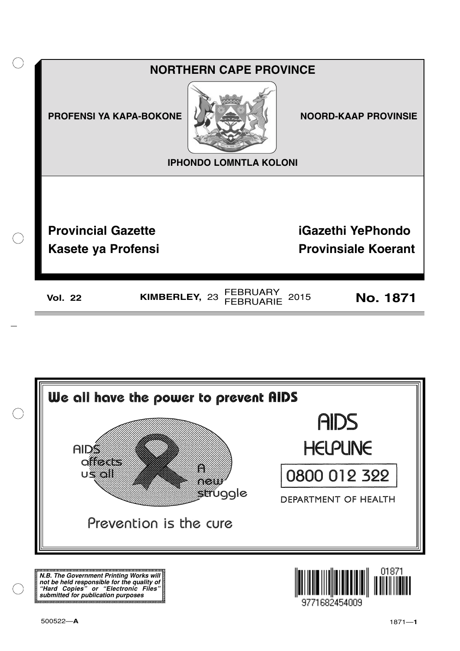



**N.B. The Government Printing Works will not be held responsible for the quality of "Hard Copies" or "Electronic Files" submitted for publication purposes**

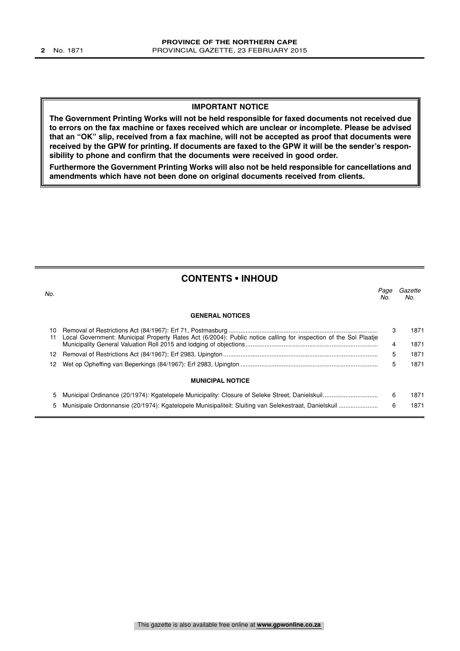#### **IMPORTANT NOTICE**

**The Government Printing Works will not be held responsible for faxed documents not received due to errors on the fax machine or faxes received which are unclear or incomplete. Please be advised that an "OK" slip, received from a fax machine, will not be accepted as proof that documents were received by the GPW for printing. If documents are faxed to the GPW it will be the sender's responsibility to phone and confirm that the documents were received in good order.**

**Furthermore the Government Printing Works will also not be held responsible for cancellations and amendments which have not been done on original documents received from clients.**

#### **CONTENTS • INHOUD**

| No.      |                                                                                                                  | Page<br>No. | Gazette<br>No. |
|----------|------------------------------------------------------------------------------------------------------------------|-------------|----------------|
|          | <b>GENERAL NOTICES</b>                                                                                           |             |                |
| 10<br>11 | Local Government: Municipal Property Rates Act (6/2004): Public notice calling for inspection of the Sol Plaatie | 3<br>4      | 1871<br>1871   |
|          |                                                                                                                  | 5           | 1871           |
| 12.      |                                                                                                                  | 5           | 1871           |
|          | <b>MUNICIPAL NOTICE</b>                                                                                          |             |                |
| 5.       |                                                                                                                  | 6           | 1871           |
| 5        |                                                                                                                  | 6           | 1871           |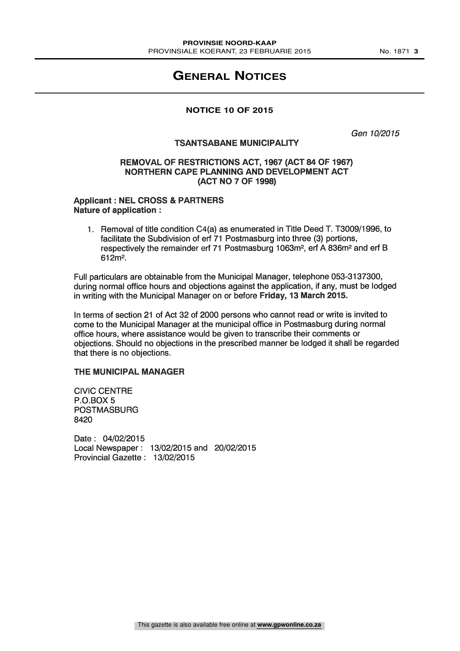### **GENERAL NOTICES**

#### **NOTICE 10 OF 2015**

Gen 10/2015

#### TSANTSABANE MUNICIPALITY

#### REMOVAL OF RESTRICTIONS ACT, 1967 (ACT 84 OF 1967) NORTHERN CAPE PLANNING AND DEVELOPMENT ACT (ACT NO 7 OF 1998)

#### Applicant : NEL CROSS & PARTNERS Nature of application :

1. Removal of title condition 04(a) as enumerated in Title Deed T. T3009/1996, to facilitate the Subdivision of erf 71 Postmasburg into three (3) portions, respectively the remainder erf 71 Postmasburg 1063m2, erf A 836m2 and erf B 612m2.

Full particulars are obtainable from the Municipal Manager, telephone 053-3137300, during normal office hours and objections against the application, if any, must be lodged in writing with the Municipal Manager on or before Friday, 13 March 2015.

In terms of section 21 of Act 32 of 2000 persons who cannot read or write is invited to come to the Municipal Manager at the municipal office in Postmasburg during normal office hours, where assistance would be given to transcribe their comments or objections. Should no objections in the prescribed manner be lodged it shall be regarded that there is no objections.

#### THE MUNICIPAL MANAGER

CIVIC CENTRE P.O.BOX 5 POSTMASBURG 8420

Date : 04/02/2015 Local Newspaper : 13/02/2015 and 20/02/2015 Provincial Gazette : 13/02/2015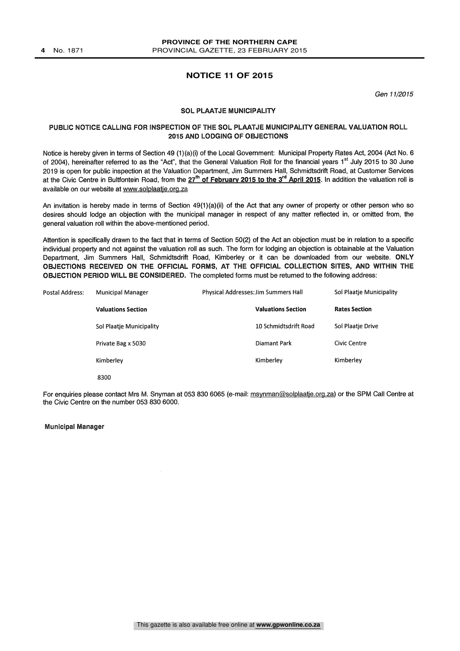#### **NOTICE 11 OF 2015**

Gen 11/2015

#### SOL PLAATJE MUNICIPALITY

#### PUBLIC NOTICE CALLING FOR INSPECTION OF THE SOL PLAATJE MUNICIPALITY GENERAL VALUATION ROLL 2015 AND LODGING OF OBJECTIONS

Notice is hereby given in terms of Section 49 (1)(a)(i) of the Local Government: Municipal Property Rates Act, 2004 (Act No. 6 of 2004), hereinafter referred to as the "Act", that the General Valuation Roll for the financial years 1<sup>st</sup> July 2015 to 30 June 2019 is open for public inspection at the Valuation Department, Jim Summers Hall, Schmidtsdrift Road, at Customer Services at the Civic Centre in Bultfontein Road, from the 27<sup>th</sup> of February 2015 to the 3<sup>rd</sup> April 2015. In addition the valuation roll is available on our website at www.solplaatje.org.za

An invitation is hereby made in terms of Section  $49(1)(a)(ii)$  of the Act that any owner of property or other person who so desires should lodge an objection with the municipal manager in respect of any matter reflected in, or omitted from, the general valuation roll within the above-mentioned period.

Attention is specifically drawn to the fact that in terms of Section 50(2) of the Act an objection must be in relation to a specific individual property and not against the valuation roll as such. The form for lodging an objection is obtainable at the Valuation Department, Jim Summers Hall, Schmidtsdrift Road, Kimberley or it can be downloaded from our website. ONLY OBJECTIONS RECEIVED ON THE OFFICIAL FORMS, AT THE OFFICIAL COLLECTION SITES, AND WITHIN THE OBJECTION PERIOD WILL BE CONSIDERED. The completed forms must be returned to the following address:

| Postal Address: | <b>Municipal Manager</b>  | Physical Addresses: Jim Summers Hall | Sol Plaatie Municipality |  |
|-----------------|---------------------------|--------------------------------------|--------------------------|--|
|                 | <b>Valuations Section</b> | <b>Valuations Section</b>            | <b>Rates Section</b>     |  |
|                 | Sol Plaatje Municipality  | 10 Schmidtsdrift Road                | Sol Plaatje Drive        |  |
|                 | Private Bag x 5030        | Diamant Park                         | Civic Centre             |  |
|                 | Kimberley                 | Kimberley                            | Kimberley                |  |
|                 | 8300                      |                                      |                          |  |

For enquiries please contact Mrs M. Snyman at 053 830 6065 (e-mail: msynman@solplaatje.org.za) or the SPM Call Centre at the Civic Centre on the number 053 830 6000.

#### Municipal Manager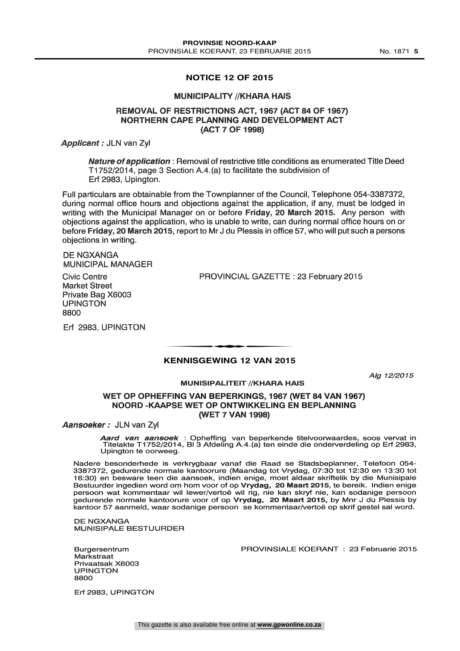#### **NOTICE 12 OF 2015**

#### **MUNICIPALITY //KHARA HAIS**

#### REMOVAL OF RESTRICTIONS ACT, 1967 (ACT 84 OF 1967) NORTHERN CAPE PLANNING AND DEVELOPMENT ACT (ACT 7 OF 1998)

Applicant : JLN van Zyl

Nature of application : Removal of restrictive title conditions as enumerated Title Deed T1752/2014, page 3 Section A.4.(a) to facilitate the subdivision of Erf 2983, Upington.

Full particulars are obtainable from the Townplanner of the Council, Telephone 054-3387372, during normal office hours and objections against the application, if any, must be lodged in writing with the Municipal Manager on or before Friday, 20 March 2015. Any person with objections against the application, who is unable to write, can during normal office hours on or before Friday, 20 March 2015, report to Mr J du Plessis in office 57, who will put such a persons objections in writing.

DE NGXANGA MUNICIPAL MANAGER

Civic Centre Market Street Private Bag X6003 UPINGTON 8800

Erf 2983, UPINGTON

PROVINCIAL GAZETTE : 23 February 2015

## **KENNISGEWING 12 VAN 2015** t

## Alg 12/2015 MUNISIPALITEIT //KHARA HAIS

OPHEFFING VAN BEPERKINGS, 1967 (WET 84 VAN 1967) NOORD-KAAPSE WET OP ONTWIKKELING EN BEPLANNING (WET 7 VAN 1998)

Aansoeker: JLN van Zyl

Aard van aansoek : Opheffing van beperkende titelvoorwaardes, soos vervat in Titelakte T1752/2014, BI 3 Afdeling A.4.(a) ten einde die onderverdeling op Erf 2983, Upington te oorweeg.

Nadere besonderhede is verkrygbaar vanaf die Raad se Stadsbeplanner, Telefoon 054-3387372, gedurende normale kantoorure (Maandag tot Vrydag, 07:30 tot 12:30 en 13:30 tot 16:30) en besware teen die aansoek, indien enige, mo gedurende normale kantoorure voor of op Vrydag, 20 Maart 2015, by Mnr J du Plessis by kantoor 57 aanmeld, waar sodanige persoon se kommentaar/vertoë op skrif gestel sal word.

DE NGXANGA MUNISIPALE BESTUURDER

Burgersentrum **Markstraat** Privaatsak X6003 UPINGTON 8800

PROVINSIALE KOERANT : 23 Februarie 2015

Erf 2983, UPINGTON

This gazette is also available free online at **www.gpwonline.co.za**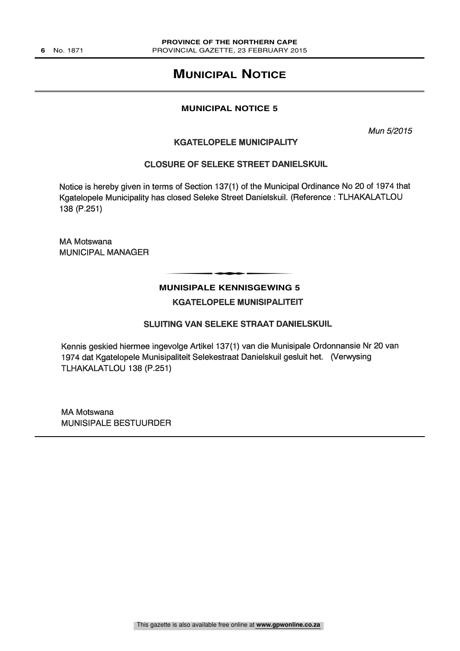### **MUNICIPAL NOTICE**

#### **MUNICIPAL NOTICE 5**

Mun 5/2015

#### KGATELOPELE MUNICIPALITY

#### CLOSURE OF SELEKE STREET DANIELSKUIL

Notice is hereby given in terms of Section 137(1) of the Municipal Ordinance No 20 of 1974 that Kgatelopele Municipality has closed Seleke Street Danielskuil. (Reference: TLHAKALATLOU 138 (P.251)

MA Motswana MUNICIPAL MANAGER

## **MUNISIPALE KENNISGEWING 5** t

KGATELOPELE MUNISIPALITEIT

#### SLUITING VAN SELEKE STRAAT DANIELSKUIL

Kennis geskied hiermee ingevolge Artikel 137(1) van die Munisipale Ordonnansie Nr 20 van 1974 dat Kgatelopele Munisipaliteit Selekestraat Danielskuil gesluit het. (Verwysing TLHAKALATLOU 138 (P.251)

MA Motswana MUNISIPALE BESTUURDER